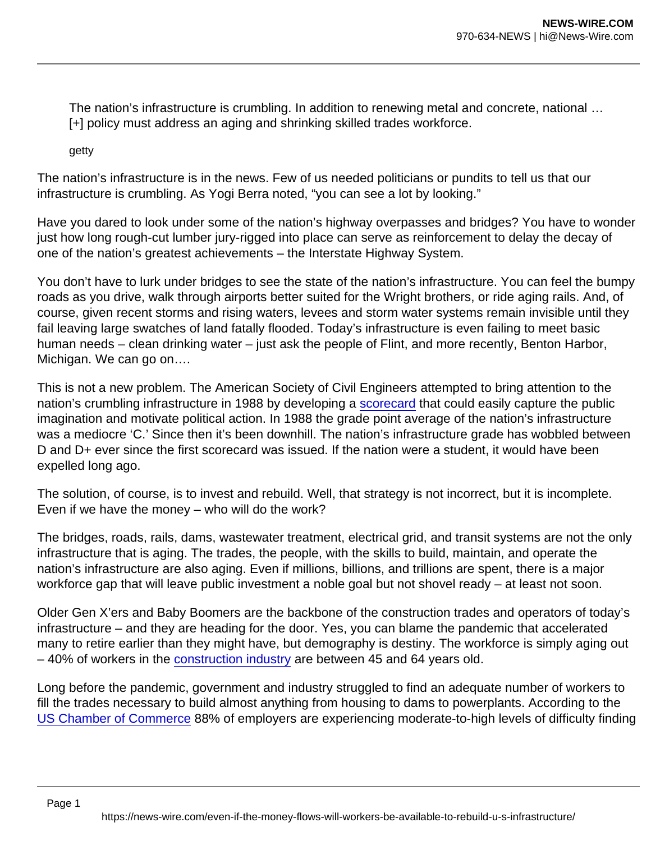The nation's infrastructure is crumbling. In addition to renewing metal and concrete, national … [+] policy must address an aging and shrinking skilled trades workforce.

getty

The nation's infrastructure is in the news. Few of us needed politicians or pundits to tell us that our infrastructure is crumbling. As Yogi Berra noted, "you can see a lot by looking."

Have you dared to look under some of the nation's highway overpasses and bridges? You have to wonder just how long rough-cut lumber jury-rigged into place can serve as reinforcement to delay the decay of one of the nation's greatest achievements – the Interstate Highway System.

You don't have to lurk under bridges to see the state of the nation's infrastructure. You can feel the bumpy roads as you drive, walk through airports better suited for the Wright brothers, or ride aging rails. And, of course, given recent storms and rising waters, levees and storm water systems remain invisible until they fail leaving large swatches of land fatally flooded. Today's infrastructure is even failing to meet basic human needs – clean drinking water – just ask the people of Flint, and more recently, Benton Harbor, Michigan. We can go on….

This is not a new problem. The American Society of Civil Engineers attempted to bring attention to the nation's crumbling infrastructure in 1988 by developing a [scorecard](https://infrastructurereportcard.org/making-the-grade/) that could easily capture the public imagination and motivate political action. In 1988 the grade point average of the nation's infrastructure was a mediocre 'C.' Since then it's been downhill. The nation's infrastructure grade has wobbled between D and D+ ever since the first scorecard was issued. If the nation were a student, it would have been expelled long ago.

The solution, of course, is to invest and rebuild. Well, that strategy is not incorrect, but it is incomplete. Even if we have the money – who will do the work?

The bridges, roads, rails, dams, wastewater treatment, electrical grid, and transit systems are not the only infrastructure that is aging. The trades, the people, with the skills to build, maintain, and operate the nation's infrastructure are also aging. Even if millions, billions, and trillions are spent, there is a major workforce gap that will leave public investment a noble goal but not shovel ready – at least not soon.

Older Gen X'ers and Baby Boomers are the backbone of the construction trades and operators of today's infrastructure – and they are heading for the door. Yes, you can blame the pandemic that accelerated many to retire earlier than they might have, but demography is destiny. The workforce is simply aging out – 40% of workers in the [construction industry](https://www.ecmag.com/section/safety/age-experience-aging-workforce-construction-industry) are between 45 and 64 years old.

Long before the pandemic, government and industry struggled to find an adequate number of workers to fill the trades necessary to build almost anything from housing to dams to powerplants. According to the [US Chamber of Commerce](https://www.uschamber.com/infrastructure/new-report-finds-construction-contractors-struggling-find-workers-building) 88% of employers are experiencing moderate-to-high levels of difficulty finding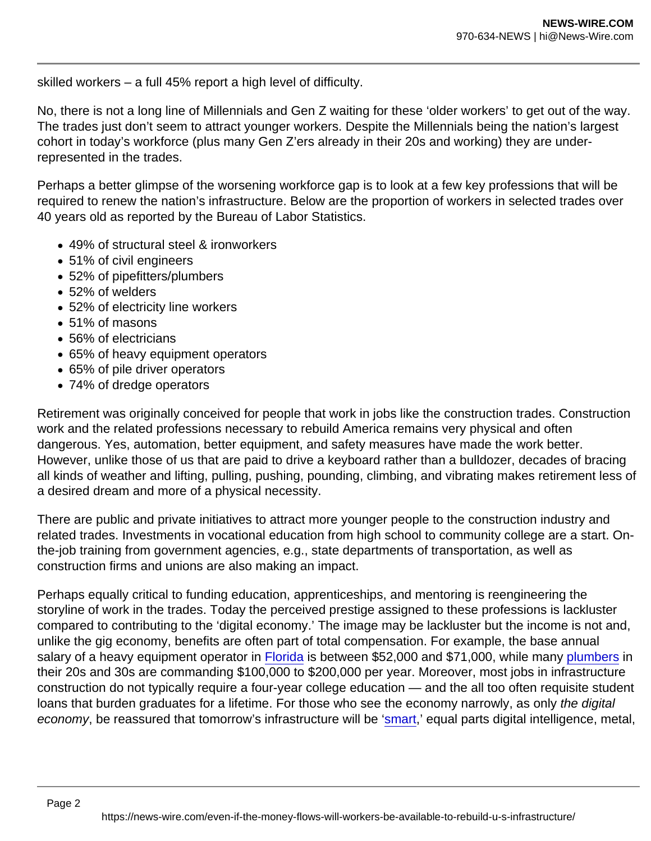skilled workers – a full 45% report a high level of difficulty.

No, there is not a long line of Millennials and Gen Z waiting for these 'older workers' to get out of the way. The trades just don't seem to attract younger workers. Despite the Millennials being the nation's largest cohort in today's workforce (plus many Gen Z'ers already in their 20s and working) they are underrepresented in the trades.

Perhaps a better glimpse of the worsening workforce gap is to look at a few key professions that will be required to renew the nation's infrastructure. Below are the proportion of workers in selected trades over 40 years old as reported by the Bureau of Labor Statistics.

- 49% of structural steel & ironworkers
- 51% of civil engineers
- 52% of pipefitters/plumbers
- 52% of welders
- 52% of electricity line workers
- 51% of masons
- 56% of electricians
- 65% of heavy equipment operators
- 65% of pile driver operators
- 74% of dredge operators

Retirement was originally conceived for people that work in jobs like the construction trades. Construction work and the related professions necessary to rebuild America remains very physical and often dangerous. Yes, automation, better equipment, and safety measures have made the work better. However, unlike those of us that are paid to drive a keyboard rather than a bulldozer, decades of bracing all kinds of weather and lifting, pulling, pushing, pounding, climbing, and vibrating makes retirement less of a desired dream and more of a physical necessity.

There are public and private initiatives to attract more younger people to the construction industry and related trades. Investments in vocational education from high school to community college are a start. Onthe-job training from government agencies, e.g., state departments of transportation, as well as construction firms and unions are also making an impact.

Perhaps equally critical to funding education, apprenticeships, and mentoring is reengineering the storyline of work in the trades. Today the perceived prestige assigned to these professions is lackluster compared to contributing to the 'digital economy.' The image may be lackluster but the income is not and, unlike the gig economy, benefits are often part of total compensation. For example, the base annual salary of a heavy equipment operator in [Florida](https://www.salary.com/research/salary/benchmark/heavy-equipment-operator-salary/orlando-fl) is between \$52,000 and \$71,000, while many [plumbers](https://www.pbs.org/newshour/show/despite-rising-salaries-the-skilled-labor-shortage-is-getting-worse) in their 20s and 30s are commanding \$100,000 to \$200,000 per year. Moreover, most jobs in infrastructure construction do not typically require a four-year college education — and the all too often requisite student loans that burden graduates for a lifetime. For those who see the economy narrowly, as only the digital economy, be reassured that tomorrow's infrastructure will be '[smart,](https://www.asce.org/topics/smart-infrastructure)' equal parts digital intelligence, metal,